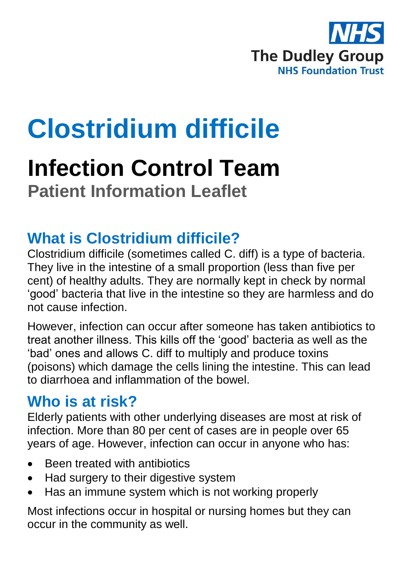

# **Clostridium difficile**

# **Infection Control Team Patient Information Leaflet**

# **What is Clostridium difficile?**

Clostridium difficile (sometimes called C. diff) is a type of bacteria. They live in the intestine of a small proportion (less than five per cent) of healthy adults. They are normally kept in check by normal 'good' bacteria that live in the intestine so they are harmless and do not cause infection.

However, infection can occur after someone has taken antibiotics to treat another illness. This kills off the 'good' bacteria as well as the 'bad' ones and allows C. diff to multiply and produce toxins (poisons) which damage the cells lining the intestine. This can lead to diarrhoea and inflammation of the bowel.

# **Who is at risk?**

Elderly patients with other underlying diseases are most at risk of infection. More than 80 per cent of cases are in people over 65 years of age. However, infection can occur in anyone who has:

- Been treated with antibiotics
- Had surgery to their digestive system
- Has an immune system which is not working properly

Most infections occur in hospital or nursing homes but they can occur in the community as well.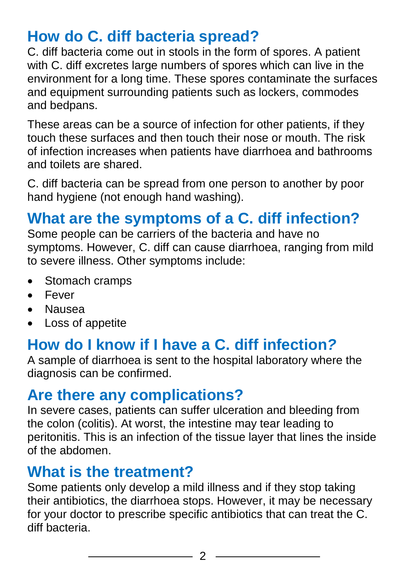# **How do C. diff bacteria spread?**

C. diff bacteria come out in stools in the form of spores. A patient with C. diff excretes large numbers of spores which can live in the environment for a long time. These spores contaminate the surfaces and equipment surrounding patients such as lockers, commodes and bedpans.

These areas can be a source of infection for other patients, if they touch these surfaces and then touch their nose or mouth. The risk of infection increases when patients have diarrhoea and bathrooms and toilets are shared.

C. diff bacteria can be spread from one person to another by poor hand hygiene (not enough hand washing).

# **What are the symptoms of a C. diff infection?**

Some people can be carriers of the bacteria and have no symptoms. However, C. diff can cause diarrhoea, ranging from mild to severe illness. Other symptoms include:

- Stomach cramps
- Fever
- Nausea
- Loss of appetite

# **How do I know if I have a C. diff infection***?*

A sample of diarrhoea is sent to the hospital laboratory where the diagnosis can be confirmed.

## **Are there any complications?**

In severe cases, patients can suffer ulceration and bleeding from the colon (colitis). At worst, the intestine may tear leading to peritonitis. This is an infection of the tissue layer that lines the inside of the abdomen.

## **What is the treatment?**

Some patients only develop a mild illness and if they stop taking their antibiotics, the diarrhoea stops. However, it may be necessary for your doctor to prescribe specific antibiotics that can treat the C. diff bacteria.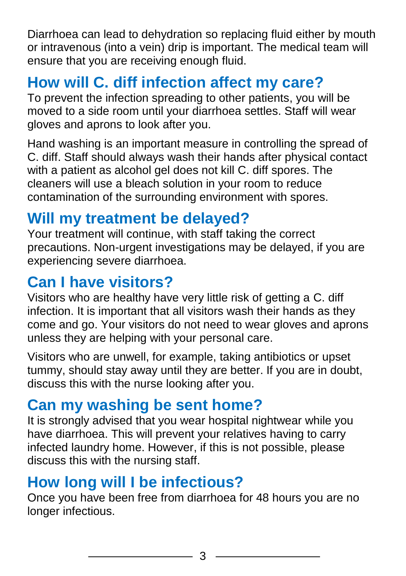Diarrhoea can lead to dehydration so replacing fluid either by mouth or intravenous (into a vein) drip is important. The medical team will ensure that you are receiving enough fluid.

# **How will C. diff infection affect my care?**

To prevent the infection spreading to other patients, you will be moved to a side room until your diarrhoea settles. Staff will wear gloves and aprons to look after you.

Hand washing is an important measure in controlling the spread of C. diff. Staff should always wash their hands after physical contact with a patient as alcohol gel does not kill C. diff spores. The cleaners will use a bleach solution in your room to reduce contamination of the surrounding environment with spores.

# **Will my treatment be delayed?**

Your treatment will continue, with staff taking the correct precautions. Non-urgent investigations may be delayed, if you are experiencing severe diarrhoea.

# **Can I have visitors?**

Visitors who are healthy have very little risk of getting a C. diff infection. It is important that all visitors wash their hands as they come and go. Your visitors do not need to wear gloves and aprons unless they are helping with your personal care.

Visitors who are unwell, for example, taking antibiotics or upset tummy, should stay away until they are better. If you are in doubt, discuss this with the nurse looking after you.

## **Can my washing be sent home?**

It is strongly advised that you wear hospital nightwear while you have diarrhoea. This will prevent your relatives having to carry infected laundry home. However, if this is not possible, please discuss this with the nursing staff.

## **How long will I be infectious?**

Once you have been free from diarrhoea for 48 hours you are no longer infectious.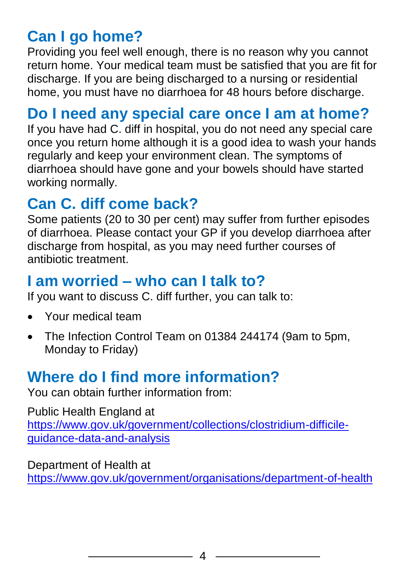# **Can I go home?**

Providing you feel well enough, there is no reason why you cannot return home. Your medical team must be satisfied that you are fit for discharge. If you are being discharged to a nursing or residential home, you must have no diarrhoea for 48 hours before discharge.

## **Do I need any special care once I am at home?**

If you have had C. diff in hospital, you do not need any special care once you return home although it is a good idea to wash your hands regularly and keep your environment clean. The symptoms of diarrhoea should have gone and your bowels should have started working normally.

# **Can C. diff come back?**

Some patients (20 to 30 per cent) may suffer from further episodes of diarrhoea. Please contact your GP if you develop diarrhoea after discharge from hospital, as you may need further courses of antibiotic treatment.

## **I am worried – who can I talk to?**

If you want to discuss C. diff further, you can talk to:

- Your medical team
- The Infection Control Team on 01384 244174 (9am to 5pm, Monday to Friday)

# **Where do I find more information?**

You can obtain further information from:

Public Health England at [https://www.gov.uk/government/collections/clostridium-difficile](https://www.gov.uk/government/collections/clostridium-difficile-guidance-data-and-analysis)[guidance-data-and-analysis](https://www.gov.uk/government/collections/clostridium-difficile-guidance-data-and-analysis)

Department of Health at <https://www.gov.uk/government/organisations/department-of-health>